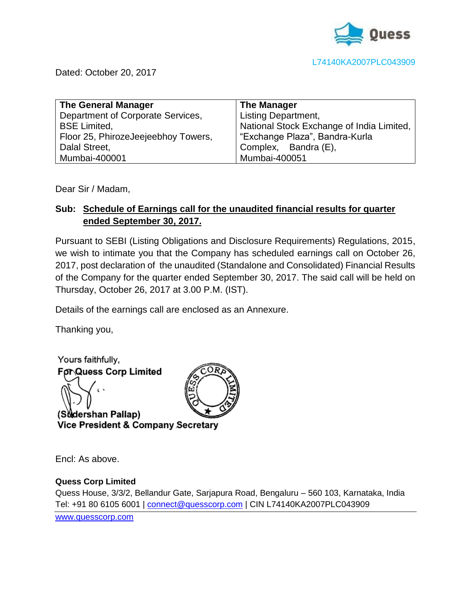

Dated: October 20, 2017

| <b>The General Manager</b>          | <b>The Manager</b>                        |
|-------------------------------------|-------------------------------------------|
| Department of Corporate Services,   | <b>Listing Department,</b>                |
| <b>BSE Limited,</b>                 | National Stock Exchange of India Limited, |
| Floor 25, PhirozeJeejeebhoy Towers, | "Exchange Plaza", Bandra-Kurla            |
| Dalal Street,                       | Complex, Bandra (E),                      |
| Mumbai-400001                       | Mumbai-400051                             |

Dear Sir / Madam,

## **Sub: Schedule of Earnings call for the unaudited financial results for quarter ended September 30, 2017.**

Pursuant to SEBI (Listing Obligations and Disclosure Requirements) Regulations, 2015, we wish to intimate you that the Company has scheduled earnings call on October 26, 2017, post declaration of the unaudited (Standalone and Consolidated) Financial Results of the Company for the quarter ended September 30, 2017. The said call will be held on Thursday, October 26, 2017 at 3.00 P.M. (IST).

Details of the earnings call are enclosed as an Annexure.

Thanking you,



Encl: As above.

### **Quess Corp Limited**

Quess House, 3/3/2, Bellandur Gate, Sarjapura Road, Bengaluru – 560 103, Karnataka, India Tel: +91 80 6105 6001 | [connect@quesscorp.com](mailto:connect@quesscorp.com) | CIN L74140KA2007PLC043909

[www.quesscorp.com](http://www.quesscorp.com/)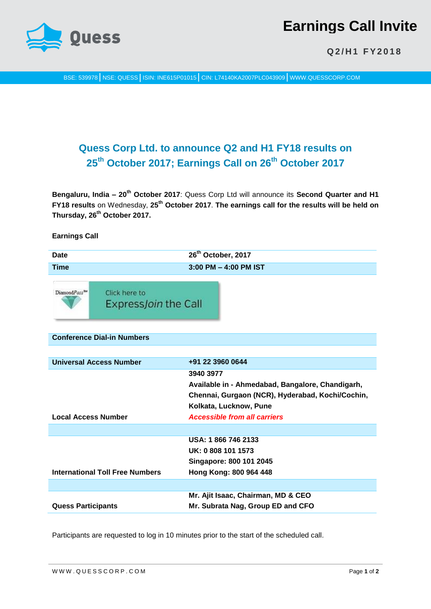

# **Earnings Call Invite**

**Q 2 / H 1 F Y 2 0 1 8**

BSE: 539978 NSE: QUESS | ISIN: INE615P01015 | CIN: L74140KA2007PLC043909 | WWW.QUESSCORP.COM

# **Quess Corp Ltd. to announce Q2 and H1 FY18 results on 25th October 2017; Earnings Call on 26th October 2017**

**Bengaluru, India – 20th October 2017**: Quess Corp Ltd will announce its **Second Quarter and H1 FY18 results** on Wednesday, **25th October 2017**. **The earnings call for the results will be held on Thursday, 26th October 2017.** 

#### **Earnings Call**

| <b>Date</b>                       |                                               | 26 <sup>th</sup> October, 2017                                                                                                                                                     |
|-----------------------------------|-----------------------------------------------|------------------------------------------------------------------------------------------------------------------------------------------------------------------------------------|
| <b>Time</b>                       | 3:00 PM - 4:00 PM IST                         |                                                                                                                                                                                    |
| DiamondPass <sup>TM</sup>         | Click here to<br>Express <i>Join</i> the Call |                                                                                                                                                                                    |
| <b>Conference Dial-in Numbers</b> |                                               |                                                                                                                                                                                    |
|                                   |                                               |                                                                                                                                                                                    |
| <b>Universal Access Number</b>    |                                               | +91 22 3960 0644                                                                                                                                                                   |
| <b>Local Access Number</b>        |                                               | 3940 3977<br>Available in - Ahmedabad, Bangalore, Chandigarh,<br>Chennai, Gurgaon (NCR), Hyderabad, Kochi/Cochin,<br>Kolkata, Lucknow, Pune<br><b>Accessible from all carriers</b> |
|                                   |                                               |                                                                                                                                                                                    |
|                                   | <b>International Toll Free Numbers</b>        | USA: 1866 746 2133<br>UK: 0 808 101 1573<br>Singapore: 800 101 2045<br>Hong Kong: 800 964 448                                                                                      |
|                                   |                                               |                                                                                                                                                                                    |
| <b>Quess Participants</b>         |                                               | Mr. Ajit Isaac, Chairman, MD & CEO<br>Mr. Subrata Nag, Group ED and CFO                                                                                                            |

Participants are requested to log in 10 minutes prior to the start of the scheduled call.